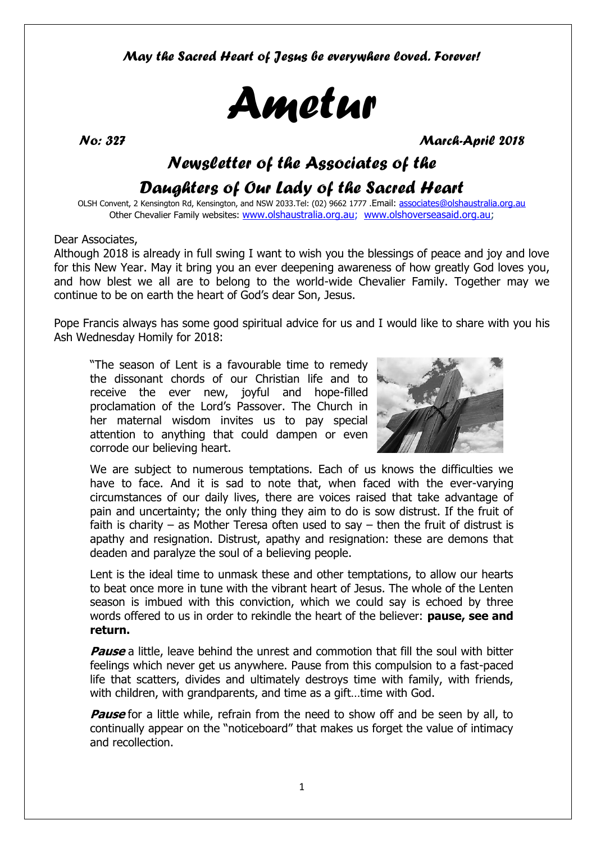*May the Sacred Heart of Jesus be everywhere loved. Forever!*



*No: 327 March-April 2018* 

## *Newsletter of the Associates of the*

## *Daughters of Our Lady of the Sacred Heart*

OLSH Convent, 2 Kensington Rd, Kensington, and NSW 2033.Tel: (02) 9662 1777 .Email: [associates@olshaustralia.org.au](mailto:associates@olshaustralia.org.au) Other Chevalier Family websites: [www.olshaustralia.org.au;](http://www.olshaustralia.org.au/) [www.olshoverseasaid.org.au;](http://www.olshoverseasaid.org.au/)

#### Dear Associates,

Although 2018 is already in full swing I want to wish you the blessings of peace and joy and love for this New Year. May it bring you an ever deepening awareness of how greatly God loves you, and how blest we all are to belong to the world-wide Chevalier Family. Together may we continue to be on earth the heart of God's dear Son, Jesus.

Pope Francis always has some good spiritual advice for us and I would like to share with you his Ash Wednesday Homily for 2018:

"The season of Lent is a favourable time to remedy the dissonant chords of our Christian life and to receive the ever new, joyful and hope-filled proclamation of the Lord's Passover. The Church in her maternal wisdom invites us to pay special attention to anything that could dampen or even corrode our believing heart.



We are subject to numerous temptations. Each of us knows the difficulties we have to face. And it is sad to note that, when faced with the ever-varying circumstances of our daily lives, there are voices raised that take advantage of pain and uncertainty; the only thing they aim to do is sow distrust. If the fruit of faith is charity – as Mother Teresa often used to say – then the fruit of distrust is apathy and resignation. Distrust, apathy and resignation: these are demons that deaden and paralyze the soul of a believing people.

Lent is the ideal time to unmask these and other temptations, to allow our hearts to beat once more in tune with the vibrant heart of Jesus. The whole of the Lenten season is imbued with this conviction, which we could say is echoed by three words offered to us in order to rekindle the heart of the believer: **pause, see and return.**

**Pause** a little, leave behind the unrest and commotion that fill the soul with bitter feelings which never get us anywhere. Pause from this compulsion to a fast-paced life that scatters, divides and ultimately destroys time with family, with friends, with children, with grandparents, and time as a gift…time with God.

**Pause** for a little while, refrain from the need to show off and be seen by all, to continually appear on the "noticeboard" that makes us forget the value of intimacy and recollection.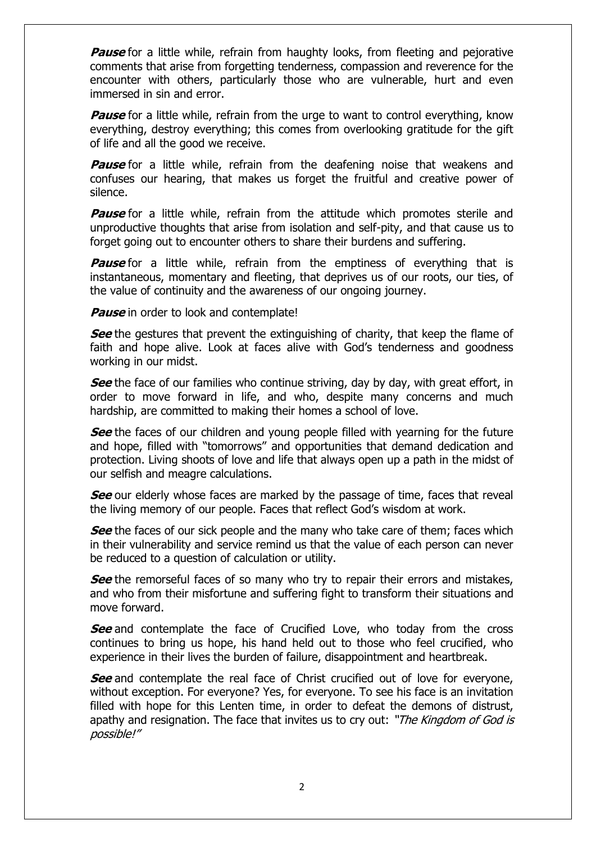**Pause** for a little while, refrain from haughty looks, from fleeting and pejorative comments that arise from forgetting tenderness, compassion and reverence for the encounter with others, particularly those who are vulnerable, hurt and even immersed in sin and error.

**Pause** for a little while, refrain from the urge to want to control everything, know everything, destroy everything; this comes from overlooking gratitude for the gift of life and all the good we receive.

**Pause** for a little while, refrain from the deafening noise that weakens and confuses our hearing, that makes us forget the fruitful and creative power of silence.

**Pause** for a little while, refrain from the attitude which promotes sterile and unproductive thoughts that arise from isolation and self-pity, and that cause us to forget going out to encounter others to share their burdens and suffering.

**Pause** for a little while, refrain from the emptiness of everything that is instantaneous, momentary and fleeting, that deprives us of our roots, our ties, of the value of continuity and the awareness of our ongoing journey.

**Pause** in order to look and contemplate!

**See** the gestures that prevent the extinguishing of charity, that keep the flame of faith and hope alive. Look at faces alive with God's tenderness and goodness working in our midst.

**See** the face of our families who continue striving, day by day, with great effort, in order to move forward in life, and who, despite many concerns and much hardship, are committed to making their homes a school of love.

**See** the faces of our children and young people filled with yearning for the future and hope, filled with "tomorrows" and opportunities that demand dedication and protection. Living shoots of love and life that always open up a path in the midst of our selfish and meagre calculations.

**See** our elderly whose faces are marked by the passage of time, faces that reveal the living memory of our people. Faces that reflect God's wisdom at work.

**See** the faces of our sick people and the many who take care of them; faces which in their vulnerability and service remind us that the value of each person can never be reduced to a question of calculation or utility.

**See** the remorseful faces of so many who try to repair their errors and mistakes, and who from their misfortune and suffering fight to transform their situations and move forward.

**See** and contemplate the face of Crucified Love, who today from the cross continues to bring us hope, his hand held out to those who feel crucified, who experience in their lives the burden of failure, disappointment and heartbreak.

**See** and contemplate the real face of Christ crucified out of love for everyone, without exception. For everyone? Yes, for everyone. To see his face is an invitation filled with hope for this Lenten time, in order to defeat the demons of distrust, apathy and resignation. The face that invites us to cry out: "The Kingdom of God is possible!"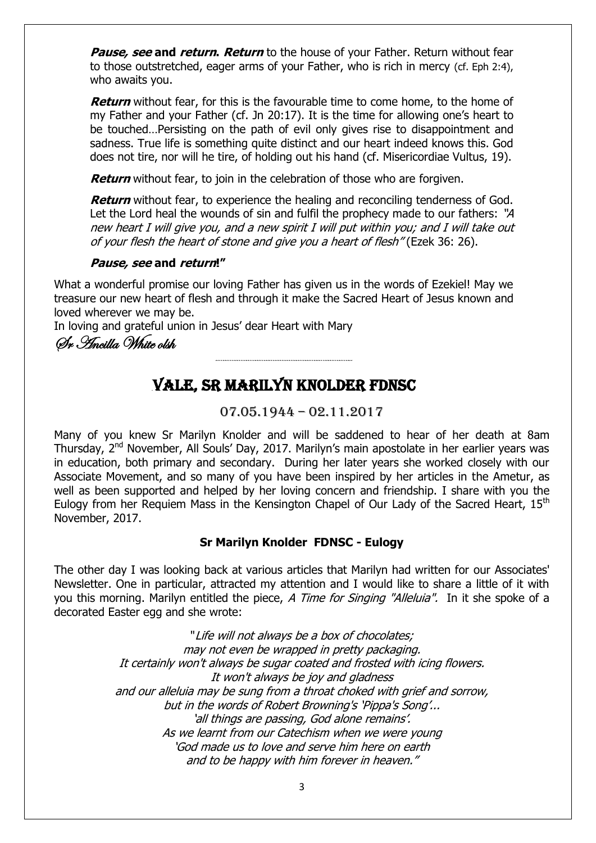**Pause, see and return. Return** to the house of your Father. Return without fear to those outstretched, eager arms of your Father, who is rich in mercy (cf. Eph 2:4), who awaits you.

**Return** without fear, for this is the favourable time to come home, to the home of my Father and your Father (cf. Jn 20:17). It is the time for allowing one's heart to be touched…Persisting on the path of evil only gives rise to disappointment and sadness. True life is something quite distinct and our heart indeed knows this. God does not tire, nor will he tire, of holding out his hand (cf. Misericordiae Vultus, 19).

**Return** without fear, to join in the celebration of those who are forgiven.

**Return** without fear, to experience the healing and reconciling tenderness of God. Let the Lord heal the wounds of sin and fulfil the prophecy made to our fathers: "A new heart I will give you, and a new spirit I will put within you; and I will take out of your flesh the heart of stone and give you a heart of flesh" (Ezek 36: 26).

#### **Pause, see and return!"**

What a wonderful promise our loving Father has given us in the words of Ezekiel! May we treasure our new heart of flesh and through it make the Sacred Heart of Jesus known and loved wherever we may be.

In loving and grateful union in Jesus' dear Heart with Mary

Sr Ancilla White olsh

## …VALE, SR MARILYN KNOLDER FDNSC

…………………………………………………………………..

07.05.1944 – 02.11.2017

Many of you knew Sr Marilyn Knolder and will be saddened to hear of her death at 8am Thursday, 2nd November, All Souls' Day, 2017. Marilyn's main apostolate in her earlier years was in education, both primary and secondary. During her later years she worked closely with our Associate Movement, and so many of you have been inspired by her articles in the Ametur, as well as been supported and helped by her loving concern and friendship. I share with you the Eulogy from her Requiem Mass in the Kensington Chapel of Our Lady of the Sacred Heart, 15<sup>th</sup> November, 2017.

#### **Sr Marilyn Knolder FDNSC - Eulogy**

The other day I was looking back at various articles that Marilyn had written for our Associates' Newsletter. One in particular, attracted my attention and I would like to share a little of it with you this morning. Marilyn entitled the piece, A Time for Singing "Alleluia". In it she spoke of a decorated Easter egg and she wrote:

> "Life will not always be a box of chocolates; may not even be wrapped in pretty packaging. It certainly won't always be sugar coated and frosted with icing flowers. It won't always be joy and gladness and our alleluia may be sung from a throat choked with grief and sorrow, but in the words of Robert Browning's 'Pippa's Song'... 'all things are passing, God alone remains'. As we learnt from our Catechism when we were young 'God made us to love and serve him here on earth and to be happy with him forever in heaven."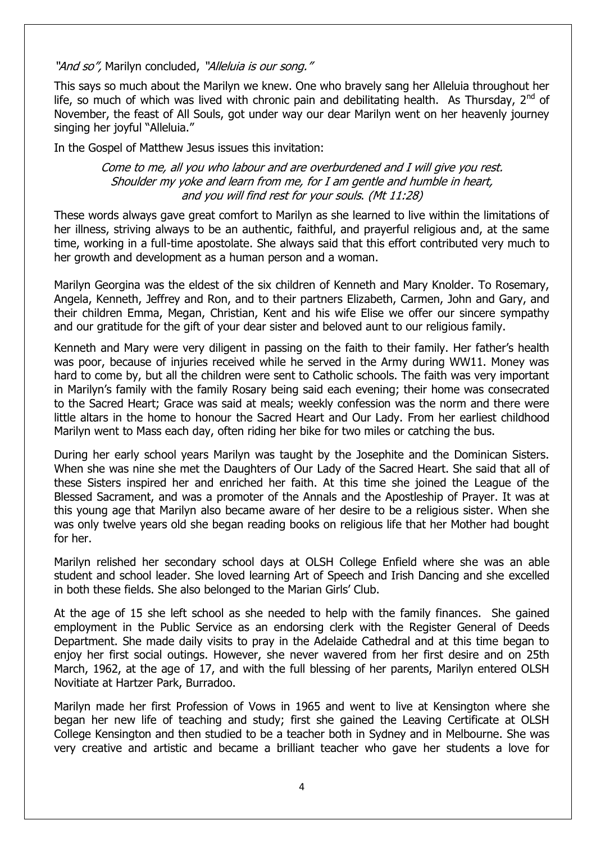"And so", Marilyn concluded, "Alleluia is our song."

This says so much about the Marilyn we knew. One who bravely sang her Alleluia throughout her life, so much of which was lived with chronic pain and debilitating health. As Thursday,  $2^{nd}$  of November, the feast of All Souls, got under way our dear Marilyn went on her heavenly journey singing her joyful "Alleluia."

In the Gospel of Matthew Jesus issues this invitation:

#### Come to me, all you who labour and are overburdened and I will give you rest. Shoulder my yoke and learn from me, for I am gentle and humble in heart, and you will find rest for your souls. (Mt 11:28)

These words always gave great comfort to Marilyn as she learned to live within the limitations of her illness, striving always to be an authentic, faithful, and prayerful religious and, at the same time, working in a full-time apostolate. She always said that this effort contributed very much to her growth and development as a human person and a woman.

Marilyn Georgina was the eldest of the six children of Kenneth and Mary Knolder. To Rosemary, Angela, Kenneth, Jeffrey and Ron, and to their partners Elizabeth, Carmen, John and Gary, and their children Emma, Megan, Christian, Kent and his wife Elise we offer our sincere sympathy and our gratitude for the gift of your dear sister and beloved aunt to our religious family.

Kenneth and Mary were very diligent in passing on the faith to their family. Her father's health was poor, because of injuries received while he served in the Army during WW11. Money was hard to come by, but all the children were sent to Catholic schools. The faith was very important in Marilyn's family with the family Rosary being said each evening; their home was consecrated to the Sacred Heart; Grace was said at meals; weekly confession was the norm and there were little altars in the home to honour the Sacred Heart and Our Lady. From her earliest childhood Marilyn went to Mass each day, often riding her bike for two miles or catching the bus.

During her early school years Marilyn was taught by the Josephite and the Dominican Sisters. When she was nine she met the Daughters of Our Lady of the Sacred Heart. She said that all of these Sisters inspired her and enriched her faith. At this time she joined the League of the Blessed Sacrament, and was a promoter of the Annals and the Apostleship of Prayer. It was at this young age that Marilyn also became aware of her desire to be a religious sister. When she was only twelve years old she began reading books on religious life that her Mother had bought for her.

Marilyn relished her secondary school days at OLSH College Enfield where she was an able student and school leader. She loved learning Art of Speech and Irish Dancing and she excelled in both these fields. She also belonged to the Marian Girls' Club.

At the age of 15 she left school as she needed to help with the family finances. She gained employment in the Public Service as an endorsing clerk with the Register General of Deeds Department. She made daily visits to pray in the Adelaide Cathedral and at this time began to enjoy her first social outings. However, she never wavered from her first desire and on 25th March, 1962, at the age of 17, and with the full blessing of her parents, Marilyn entered OLSH Novitiate at Hartzer Park, Burradoo.

Marilyn made her first Profession of Vows in 1965 and went to live at Kensington where she began her new life of teaching and study; first she gained the Leaving Certificate at OLSH College Kensington and then studied to be a teacher both in Sydney and in Melbourne. She was very creative and artistic and became a brilliant teacher who gave her students a love for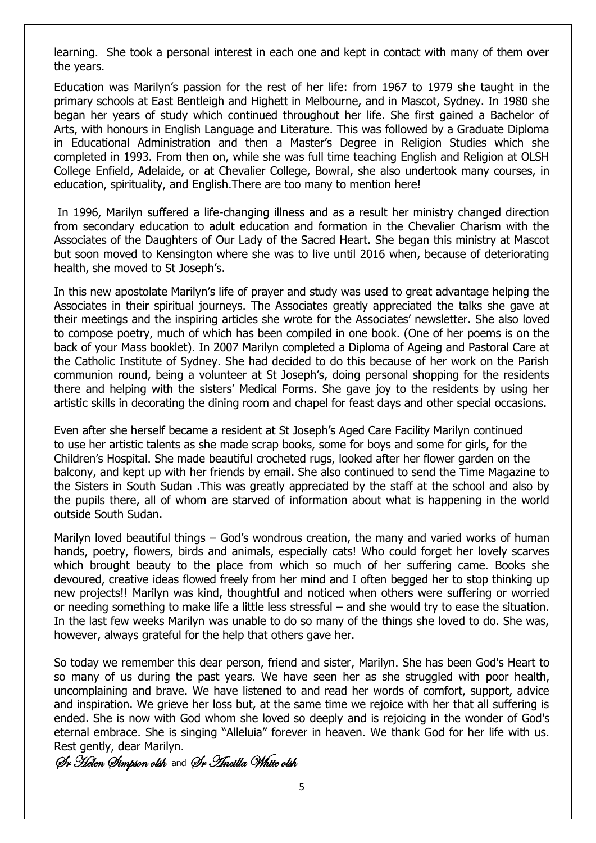learning. She took a personal interest in each one and kept in contact with many of them over the years.

Education was Marilyn's passion for the rest of her life: from 1967 to 1979 she taught in the primary schools at East Bentleigh and Highett in Melbourne, and in Mascot, Sydney. In 1980 she began her years of study which continued throughout her life. She first gained a Bachelor of Arts, with honours in English Language and Literature. This was followed by a Graduate Diploma in Educational Administration and then a Master's Degree in Religion Studies which she completed in 1993. From then on, while she was full time teaching English and Religion at OLSH College Enfield, Adelaide, or at Chevalier College, Bowral, she also undertook many courses, in education, spirituality, and English.There are too many to mention here!

In 1996, Marilyn suffered a life-changing illness and as a result her ministry changed direction from secondary education to adult education and formation in the Chevalier Charism with the Associates of the Daughters of Our Lady of the Sacred Heart. She began this ministry at Mascot but soon moved to Kensington where she was to live until 2016 when, because of deteriorating health, she moved to St Joseph's.

In this new apostolate Marilyn's life of prayer and study was used to great advantage helping the Associates in their spiritual journeys. The Associates greatly appreciated the talks she gave at their meetings and the inspiring articles she wrote for the Associates' newsletter. She also loved to compose poetry, much of which has been compiled in one book. (One of her poems is on the back of your Mass booklet). In 2007 Marilyn completed a Diploma of Ageing and Pastoral Care at the Catholic Institute of Sydney. She had decided to do this because of her work on the Parish communion round, being a volunteer at St Joseph's, doing personal shopping for the residents there and helping with the sisters' Medical Forms. She gave joy to the residents by using her artistic skills in decorating the dining room and chapel for feast days and other special occasions.

Even after she herself became a resident at St Joseph's Aged Care Facility Marilyn continued to use her artistic talents as she made scrap books, some for boys and some for girls, for the Children's Hospital. She made beautiful crocheted rugs, looked after her flower garden on the balcony, and kept up with her friends by email. She also continued to send the Time Magazine to the Sisters in South Sudan .This was greatly appreciated by the staff at the school and also by the pupils there, all of whom are starved of information about what is happening in the world outside South Sudan.

Marilyn loved beautiful things – God's wondrous creation, the many and varied works of human hands, poetry, flowers, birds and animals, especially cats! Who could forget her lovely scarves which brought beauty to the place from which so much of her suffering came. Books she devoured, creative ideas flowed freely from her mind and I often begged her to stop thinking up new projects!! Marilyn was kind, thoughtful and noticed when others were suffering or worried or needing something to make life a little less stressful – and she would try to ease the situation. In the last few weeks Marilyn was unable to do so many of the things she loved to do. She was, however, always grateful for the help that others gave her.

So today we remember this dear person, friend and sister, Marilyn. She has been God's Heart to so many of us during the past years. We have seen her as she struggled with poor health, uncomplaining and brave. We have listened to and read her words of comfort, support, advice and inspiration. We grieve her loss but, at the same time we rejoice with her that all suffering is ended. She is now with God whom she loved so deeply and is rejoicing in the wonder of God's eternal embrace. She is singing "Alleluia" forever in heaven. We thank God for her life with us. Rest gently, dear Marilyn.

Sr Helen Simpson olsh and Sr Ancilla White olsh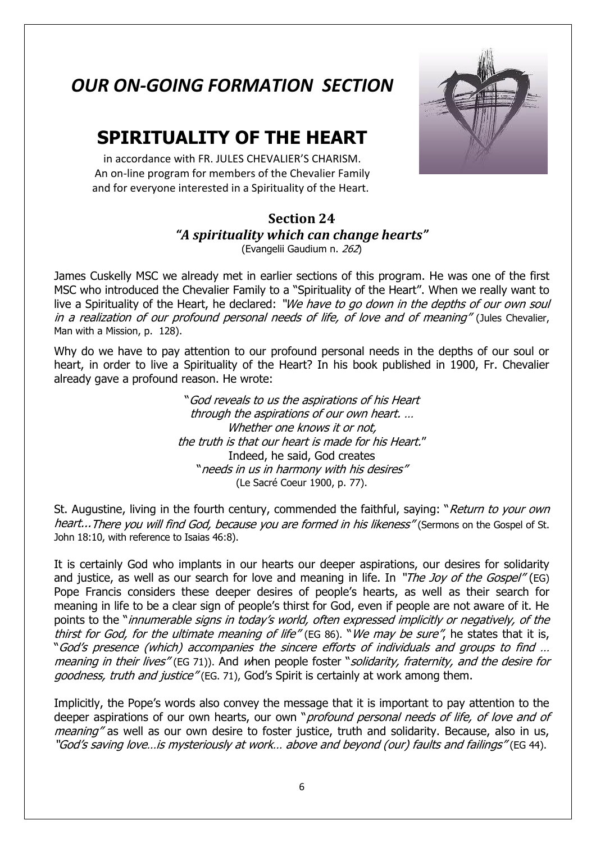## *OUR ON-GOING FORMATION SECTION*

## **SPIRITUALITY OF THE HEART**

in accordance with FR. JULES CHEVALIER'S CHARISM. An on-line program for members of the Chevalier Family and for everyone interested in a Spirituality of the Heart.

#### **Section 24** *"A spirituality which can change hearts"* (Evangelii Gaudium n. 262)

James Cuskelly MSC we already met in earlier sections of this program. He was one of the first MSC who introduced the Chevalier Family to a "Spirituality of the Heart". When we really want to live a Spirituality of the Heart, he declared: "We have to go down in the depths of our own soul in a realization of our profound personal needs of life, of love and of meaning" (Jules Chevalier, Man with a Mission, p. 128).

Why do we have to pay attention to our profound personal needs in the depths of our soul or heart, in order to live a Spirituality of the Heart? In his book published in 1900, Fr. Chevalier already gave a profound reason. He wrote:

> "God reveals to us the aspirations of his Heart through the aspirations of our own heart. … Whether one knows it or not, the truth is that our heart is made for his Heart." Indeed, he said, God creates "needs in us in harmony with his desires" (Le Sacré Coeur 1900, p. 77).

St. Augustine, living in the fourth century, commended the faithful, saying: "Return to your own heart...There you will find God, because you are formed in his likeness" (Sermons on the Gospel of St. John 18:10, with reference to Isaias 46:8).

It is certainly God who implants in our hearts our deeper aspirations, our desires for solidarity and justice, as well as our search for love and meaning in life. In "The Joy of the Gospel" (EG) Pope Francis considers these deeper desires of people's hearts, as well as their search for meaning in life to be a clear sign of people's thirst for God, even if people are not aware of it. He points to the "*innumerable signs in today's world, often expressed implicitly or negatively, of the* thirst for God, for the ultimate meaning of life" (EG 86). "We may be sure", he states that it is, "God's presence (which) accompanies the sincere efforts of individuals and groups to find … meaning in their lives" (EG 71)). And when people foster "solidarity, fraternity, and the desire for goodness, truth and justice" (EG. 71), God's Spirit is certainly at work among them.

Implicitly, the Pope's words also convey the message that it is important to pay attention to the deeper aspirations of our own hearts, our own "*profound personal needs of life, of love and of* meaning" as well as our own desire to foster justice, truth and solidarity. Because, also in us, "God's saving love…is mysteriously at work… above and beyond (our) faults and failings" (EG 44).

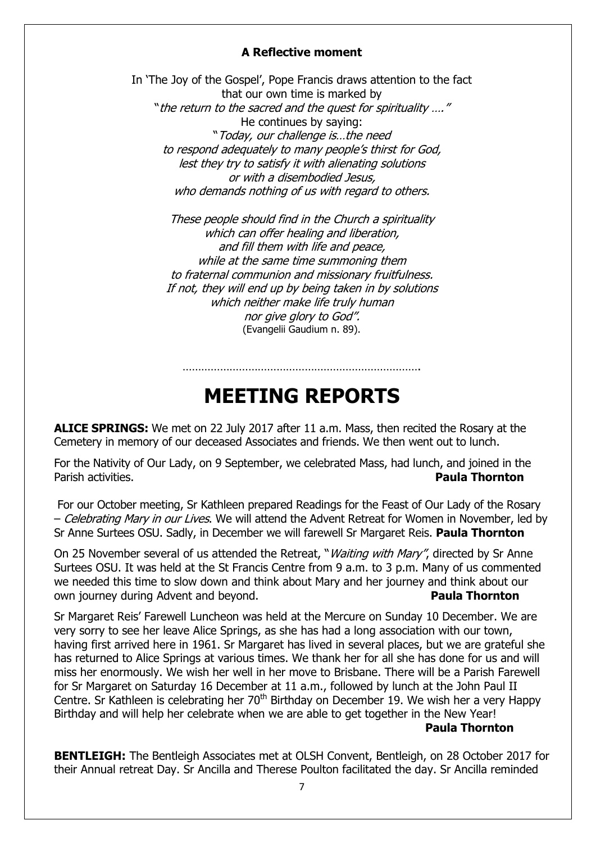#### **A Reflective moment**

In 'The Joy of the Gospel', Pope Francis draws attention to the fact that our own time is marked by "the return to the sacred and the quest for spirituality …." He continues by saying: "Today, our challenge is…the need to respond adequately to many people's thirst for God, lest they try to satisfy it with alienating solutions or with a disembodied Jesus, who demands nothing of us with regard to others.

These people should find in the Church a spirituality which can offer healing and liberation, and fill them with life and peace, while at the same time summoning them to fraternal communion and missionary fruitfulness. If not, they will end up by being taken in by solutions which neither make life truly human nor give glory to God". (Evangelii Gaudium n. 89).

# **MEETING REPORTS**

………………………………………………………………….

**ALICE SPRINGS:** We met on 22 July 2017 after 11 a.m. Mass, then recited the Rosary at the Cemetery in memory of our deceased Associates and friends. We then went out to lunch.

For the Nativity of Our Lady, on 9 September, we celebrated Mass, had lunch, and joined in the Parish activities. **Paula Thornton**

For our October meeting, Sr Kathleen prepared Readings for the Feast of Our Lady of the Rosary – Celebrating Mary in our Lives. We will attend the Advent Retreat for Women in November, led by Sr Anne Surtees OSU. Sadly, in December we will farewell Sr Margaret Reis. **Paula Thornton**

On 25 November several of us attended the Retreat, "*Waiting with Mary"*, directed by Sr Anne Surtees OSU. It was held at the St Francis Centre from 9 a.m. to 3 p.m. Many of us commented we needed this time to slow down and think about Mary and her journey and think about our own journey during Advent and beyond. **Paula Thornton**

Sr Margaret Reis' Farewell Luncheon was held at the Mercure on Sunday 10 December. We are very sorry to see her leave Alice Springs, as she has had a long association with our town, having first arrived here in 1961. Sr Margaret has lived in several places, but we are grateful she has returned to Alice Springs at various times. We thank her for all she has done for us and will miss her enormously. We wish her well in her move to Brisbane. There will be a Parish Farewell for Sr Margaret on Saturday 16 December at 11 a.m., followed by lunch at the John Paul II Centre. Sr Kathleen is celebrating her  $70<sup>th</sup>$  Birthday on December 19. We wish her a very Happy Birthday and will help her celebrate when we are able to get together in the New Year!

**Paula Thornton**

**BENTLEIGH:** The Bentleigh Associates met at OLSH Convent, Bentleigh, on 28 October 2017 for their Annual retreat Day. Sr Ancilla and Therese Poulton facilitated the day. Sr Ancilla reminded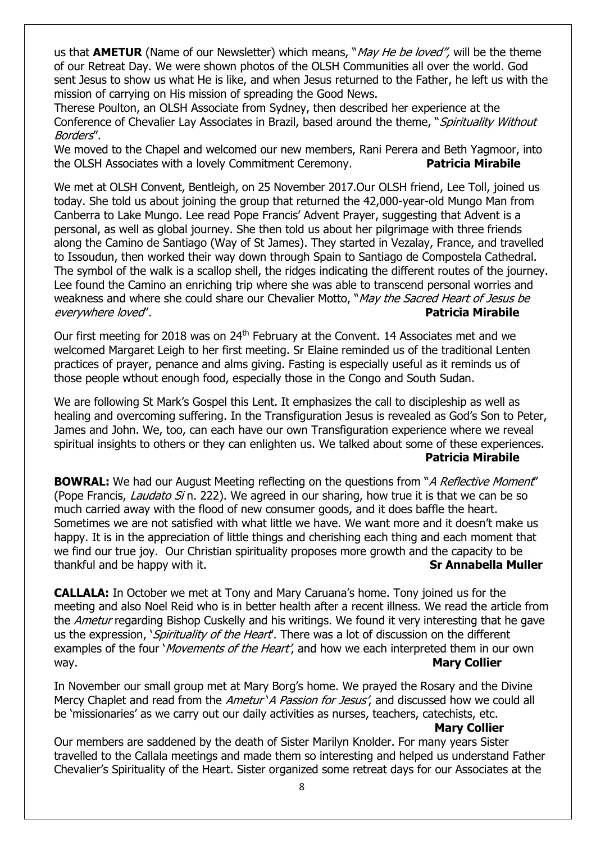us that **AMETUR** (Name of our Newsletter) which means, "*May He be loved"*, will be the theme of our Retreat Day. We were shown photos of the OLSH Communities all over the world. God sent Jesus to show us what He is like, and when Jesus returned to the Father, he left us with the mission of carrying on His mission of spreading the Good News.

Therese Poulton, an OLSH Associate from Sydney, then described her experience at the Conference of Chevalier Lay Associates in Brazil, based around the theme, "Spirituality Without Borders".

We moved to the Chapel and welcomed our new members, Rani Perera and Beth Yagmoor, into the OLSH Associates with a lovely Commitment Ceremony. **Patricia Mirabile** 

We met at OLSH Convent, Bentleigh, on 25 November 2017.Our OLSH friend, Lee Toll, joined us today. She told us about joining the group that returned the 42,000-year-old Mungo Man from Canberra to Lake Mungo. Lee read Pope Francis' Advent Prayer, suggesting that Advent is a personal, as well as global journey. She then told us about her pilgrimage with three friends along the Camino de Santiago (Way of St James). They started in Vezalay, France, and travelled to Issoudun, then worked their way down through Spain to Santiago de Compostela Cathedral. The symbol of the walk is a scallop shell, the ridges indicating the different routes of the journey. Lee found the Camino an enriching trip where she was able to transcend personal worries and weakness and where she could share our Chevalier Motto, "May the Sacred Heart of Jesus be everywhere loved". **Patricia Mirabile**

Our first meeting for 2018 was on 24<sup>th</sup> February at the Convent. 14 Associates met and we welcomed Margaret Leigh to her first meeting. Sr Elaine reminded us of the traditional Lenten practices of prayer, penance and alms giving. Fasting is especially useful as it reminds us of those people wthout enough food, especially those in the Congo and South Sudan.

We are following St Mark's Gospel this Lent. It emphasizes the call to discipleship as well as healing and overcoming suffering. In the Transfiguration Jesus is revealed as God's Son to Peter, James and John. We, too, can each have our own Transfiguration experience where we reveal spiritual insights to others or they can enlighten us. We talked about some of these experiences. **Patricia Mirabile**

**BOWRAL:** We had our August Meeting reflecting on the questions from "A Reflective Moment" (Pope Francis, *Laudato Si* n. 222). We agreed in our sharing, how true it is that we can be so much carried away with the flood of new consumer goods, and it does baffle the heart. Sometimes we are not satisfied with what little we have. We want more and it doesn't make us happy. It is in the appreciation of little things and cherishing each thing and each moment that we find our true joy. Our Christian spirituality proposes more growth and the capacity to be thankful and be happy with it. **Sr Annabella Muller**

**CALLALA:** In October we met at Tony and Mary Caruana's home. Tony joined us for the meeting and also Noel Reid who is in better health after a recent illness. We read the article from the *Ametur* regarding Bishop Cuskelly and his writings. We found it very interesting that he gave us the expression, *`Spirituality of the Heart*'. There was a lot of discussion on the different examples of the four '*Movements of the Heart'*, and how we each interpreted them in our own way. **Mary Collier Mary Collier** 

In November our small group met at Mary Borg's home. We prayed the Rosary and the Divine Mercy Chaplet and read from the Ametur *A Passion for Jesus'*, and discussed how we could all be 'missionaries' as we carry out our daily activities as nurses, teachers, catechists, etc.

#### **Mary Collier**

Our members are saddened by the death of Sister Marilyn Knolder. For many years Sister travelled to the Callala meetings and made them so interesting and helped us understand Father Chevalier's Spirituality of the Heart. Sister organized some retreat days for our Associates at the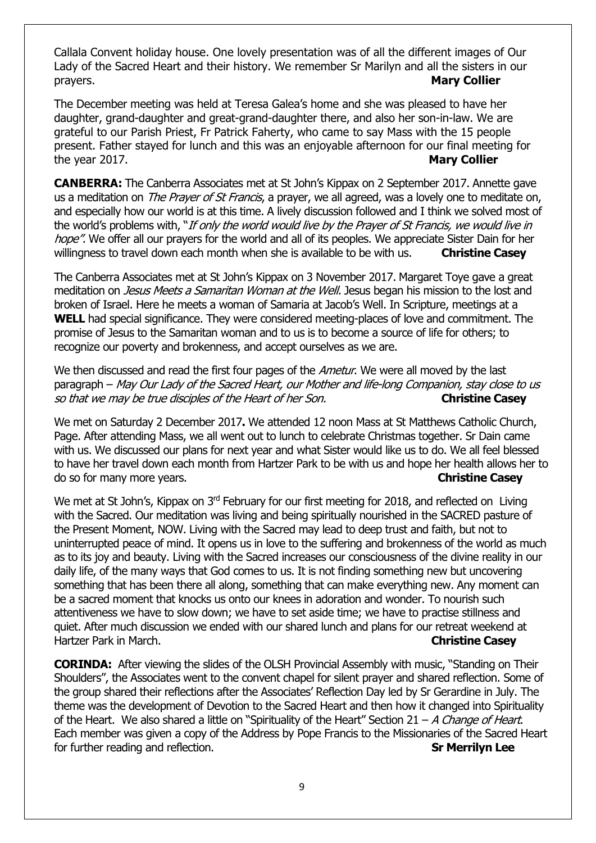Callala Convent holiday house. One lovely presentation was of all the different images of Our Lady of the Sacred Heart and their history. We remember Sr Marilyn and all the sisters in our prayers. **Mary Collier** 

The December meeting was held at Teresa Galea's home and she was pleased to have her daughter, grand-daughter and great-grand-daughter there, and also her son-in-law. We are grateful to our Parish Priest, Fr Patrick Faherty, who came to say Mass with the 15 people present. Father stayed for lunch and this was an enjoyable afternoon for our final meeting for the year 2017. **Mary Collier**

**CANBERRA:** The Canberra Associates met at St John's Kippax on 2 September 2017. Annette gave us a meditation on *The Prayer of St Francis*, a prayer, we all agreed, was a lovely one to meditate on, and especially how our world is at this time. A lively discussion followed and I think we solved most of the world's problems with, "If only the world would live by the Prayer of St Francis, we would live in hope". We offer all our prayers for the world and all of its peoples. We appreciate Sister Dain for her willingness to travel down each month when she is available to be with us. **Christine Casey**

The Canberra Associates met at St John's Kippax on 3 November 2017. Margaret Toye gave a great meditation on *Jesus Meets a Samaritan Woman at the Well*. Jesus began his mission to the lost and broken of Israel. Here he meets a woman of Samaria at Jacob's Well. In Scripture, meetings at a **WELL** had special significance. They were considered meeting-places of love and commitment. The promise of Jesus to the Samaritan woman and to us is to become a source of life for others; to recognize our poverty and brokenness, and accept ourselves as we are.

We then discussed and read the first four pages of the *Ametur*. We were all moved by the last paragraph – May Our Lady of the Sacred Heart, our Mother and life-long Companion, stay close to us so that we may be true disciples of the Heart of her Son. **Christine Casey**

We met on Saturday 2 December 2017**.** We attended 12 noon Mass at St Matthews Catholic Church, Page. After attending Mass, we all went out to lunch to celebrate Christmas together. Sr Dain came with us. We discussed our plans for next year and what Sister would like us to do. We all feel blessed to have her travel down each month from Hartzer Park to be with us and hope her health allows her to do so for many more years. **Christine Casey**

We met at St John's, Kippax on 3<sup>rd</sup> February for our first meeting for 2018, and reflected on Living with the Sacred. Our meditation was living and being spiritually nourished in the SACRED pasture of the Present Moment, NOW. Living with the Sacred may lead to deep trust and faith, but not to uninterrupted peace of mind. It opens us in love to the suffering and brokenness of the world as much as to its joy and beauty. Living with the Sacred increases our consciousness of the divine reality in our daily life, of the many ways that God comes to us. It is not finding something new but uncovering something that has been there all along, something that can make everything new. Any moment can be a sacred moment that knocks us onto our knees in adoration and wonder. To nourish such attentiveness we have to slow down; we have to set aside time; we have to practise stillness and quiet. After much discussion we ended with our shared lunch and plans for our retreat weekend at Hartzer Park in March. **Christine Casey**

**CORINDA:** After viewing the slides of the OLSH Provincial Assembly with music, "Standing on Their Shoulders", the Associates went to the convent chapel for silent prayer and shared reflection. Some of the group shared their reflections after the Associates' Reflection Day led by Sr Gerardine in July. The theme was the development of Devotion to the Sacred Heart and then how it changed into Spirituality of the Heart. We also shared a little on "Spirituality of the Heart" Section 21 – A Change of Heart. Each member was given a copy of the Address by Pope Francis to the Missionaries of the Sacred Heart for further reading and reflection. **Sr Merrilyn Lee**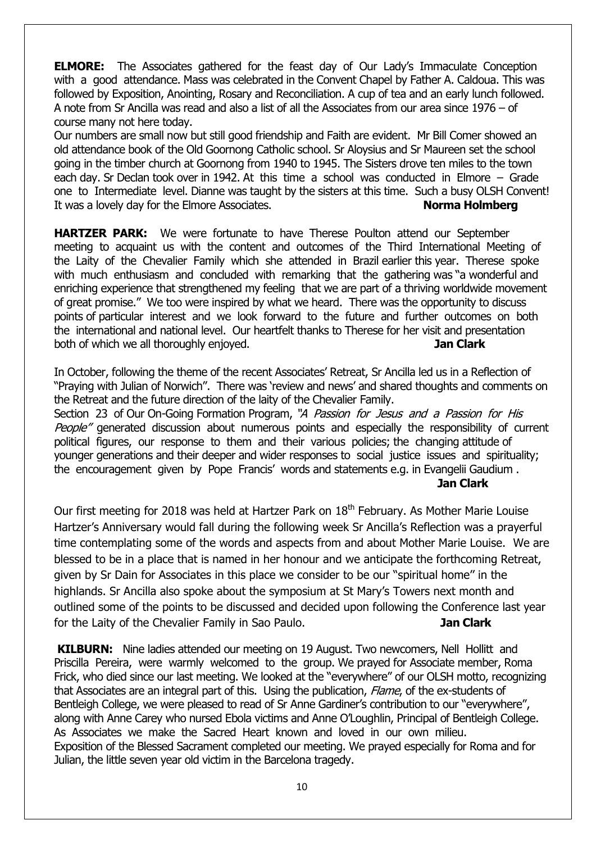**ELMORE:** The Associates gathered for the feast day of Our Lady's Immaculate Conception with a good attendance. Mass was celebrated in the Convent Chapel by Father A. Caldoua. This was followed by Exposition, Anointing, Rosary and Reconciliation. A cup of tea and an early lunch followed. A note from Sr Ancilla was read and also a list of all the Associates from our area since 1976 – of course many not here today.

Our numbers are small now but still good friendship and Faith are evident. Mr Bill Comer showed an old attendance book of the Old Goornong Catholic school. Sr Aloysius and Sr Maureen set the school going in the timber church at Goornong from 1940 to 1945. The Sisters drove ten miles to the town each day. Sr Declan took over in 1942. At this time a school was conducted in Elmore – Grade one to Intermediate level. Dianne was taught by the sisters at this time. Such a busy OLSH Convent! It was a lovely day for the Elmore Associates. **Norma Holmberg** 

**HARTZER PARK:** We were fortunate to have Therese Poulton attend our September meeting to acquaint us with the content and outcomes of the Third International Meeting of the Laity of the Chevalier Family which she attended in Brazil earlier this year. Therese spoke with much enthusiasm and concluded with remarking that the gathering was "a wonderful and enriching experience that strengthened my feeling that we are part of a thriving worldwide movement of great promise." We too were inspired by what we heard. There was the opportunity to discuss points of particular interest and we look forward to the future and further outcomes on both the international and national level. Our heartfelt thanks to Therese for her visit and presentation both of which we all thoroughly enjoyed. **Jan Clark** 

In October, following the theme of the recent Associates' Retreat, Sr Ancilla led us in a Reflection of "Praying with Julian of Norwich". There was 'review and news' and shared thoughts and comments on the Retreat and the future direction of the laity of the Chevalier Family.

Section 23 of Our On-Going Formation Program, "A Passion for Jesus and a Passion for His People" generated discussion about numerous points and especially the responsibility of current political figures, our response to them and their various policies; the changing attitude of younger generations and their deeper and wider responses to social justice issues and spirituality; the encouragement given by Pope Francis' words and statements e.g. in Evangelii Gaudium . **Jan Clark**

Our first meeting for 2018 was held at Hartzer Park on 18<sup>th</sup> February. As Mother Marie Louise Hartzer's Anniversary would fall during the following week Sr Ancilla's Reflection was a prayerful time contemplating some of the words and aspects from and about Mother Marie Louise. We are blessed to be in a place that is named in her honour and we anticipate the forthcoming Retreat, given by Sr Dain for Associates in this place we consider to be our "spiritual home'' in the highlands. Sr Ancilla also spoke about the symposium at St Mary's Towers next month and outlined some of the points to be discussed and decided upon following the Conference last year for the Laity of the Chevalier Family in Sao Paulo. **Jan Clark**

**KILBURN:** Nine ladies attended our meeting on 19 August. Two newcomers, Nell Hollitt and Priscilla Pereira, were warmly welcomed to the group. We prayed for Associate member, Roma Frick, who died since our last meeting. We looked at the "everywhere" of our OLSH motto, recognizing that Associates are an integral part of this. Using the publication, Flame, of the ex-students of Bentleigh College, we were pleased to read of Sr Anne Gardiner's contribution to our "everywhere", along with Anne Carey who nursed Ebola victims and Anne O'Loughlin, Principal of Bentleigh College. As Associates we make the Sacred Heart known and loved in our own milieu. Exposition of the Blessed Sacrament completed our meeting. We prayed especially for Roma and for Julian, the little seven year old victim in the Barcelona tragedy.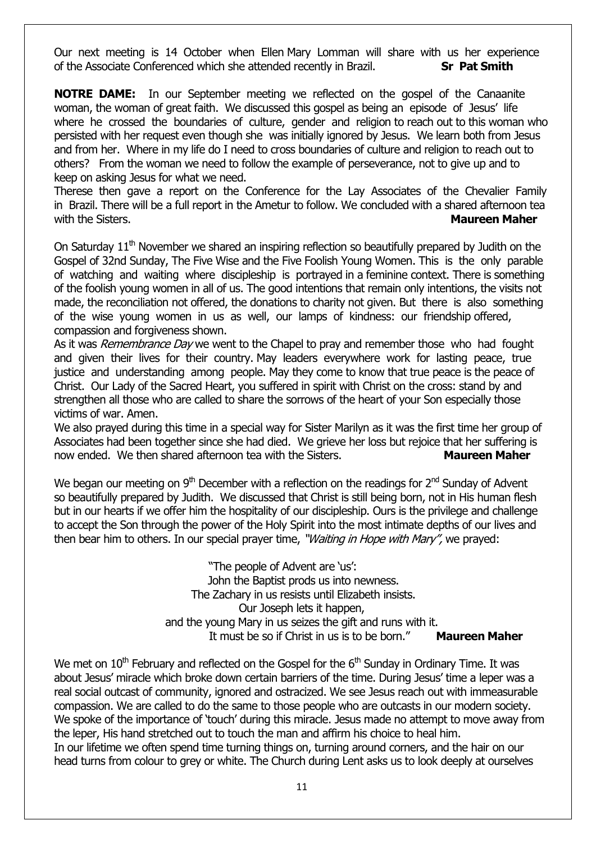Our next meeting is 14 October when Ellen Mary Lomman will share with us her experience of the Associate Conferenced which she attended recently in Brazil. **Sr Pat Smith**

**NOTRE DAME:** In our September meeting we reflected on the gospel of the Canaanite woman, the woman of great faith. We discussed this gospel as being an episode of Jesus' life where he crossed the boundaries of culture, gender and religion to reach out to this woman who persisted with her request even though she was initially ignored by Jesus. We learn both from Jesus and from her. Where in my life do I need to cross boundaries of culture and religion to reach out to others? From the woman we need to follow the example of perseverance, not to give up and to keep on asking Jesus for what we need.

Therese then gave a report on the Conference for the Lay Associates of the Chevalier Family in Brazil. There will be a full report in the Ametur to follow. We concluded with a shared afternoon tea with the Sisters. **Maureen Maher Maureen Maher Maureen Maher Maureen Maher Maureen Maher Mater Mater Maher Maher Mater Maher Maher Maher Maher Maher Maher Maher Maher Maher Maher Mah** 

On Saturday  $11<sup>th</sup>$  November we shared an inspiring reflection so beautifully prepared by Judith on the Gospel of 32nd Sunday, The Five Wise and the Five Foolish Young Women. This is the only parable of watching and waiting where discipleship is portrayed in a feminine context. There is something of the foolish young women in all of us. The good intentions that remain only intentions, the visits not made, the reconciliation not offered, the donations to charity not given. But there is also something of the wise young women in us as well, our lamps of kindness: our friendship offered, compassion and forgiveness shown.

As it was *Remembrance Day* we went to the Chapel to pray and remember those who had fought and given their lives for their country. May leaders everywhere work for lasting peace, true justice and understanding among people. May they come to know that true peace is the peace of Christ. Our Lady of the Sacred Heart, you suffered in spirit with Christ on the cross: stand by and strengthen all those who are called to share the sorrows of the heart of your Son especially those victims of war. Amen.

We also prayed during this time in a special way for Sister Marilyn as it was the first time her group of Associates had been together since she had died. We grieve her loss but rejoice that her suffering is now ended. We then shared afternoon tea with the Sisters. **Maureen Maher**

We began our meeting on  $9<sup>th</sup>$  December with a reflection on the readings for  $2<sup>nd</sup>$  Sunday of Advent so beautifully prepared by Judith. We discussed that Christ is still being born, not in His human flesh but in our hearts if we offer him the hospitality of our discipleship. Ours is the privilege and challenge to accept the Son through the power of the Holy Spirit into the most intimate depths of our lives and then bear him to others. In our special prayer time, "Waiting in Hope with Mary", we prayed:

> "The people of Advent are 'us': John the Baptist prods us into newness. The Zachary in us resists until Elizabeth insists. Our Joseph lets it happen, and the young Mary in us seizes the gift and runs with it. It must be so if Christ in us is to be born." **Maureen Maher**

We met on  $10<sup>th</sup>$  February and reflected on the Gospel for the  $6<sup>th</sup>$  Sunday in Ordinary Time. It was about Jesus' miracle which broke down certain barriers of the time. During Jesus' time a leper was a real social outcast of community, ignored and ostracized. We see Jesus reach out with immeasurable compassion. We are called to do the same to those people who are outcasts in our modern society. We spoke of the importance of 'touch' during this miracle. Jesus made no attempt to move away from the leper, His hand stretched out to touch the man and affirm his choice to heal him. In our lifetime we often spend time turning things on, turning around corners, and the hair on our head turns from colour to grey or white. The Church during Lent asks us to look deeply at ourselves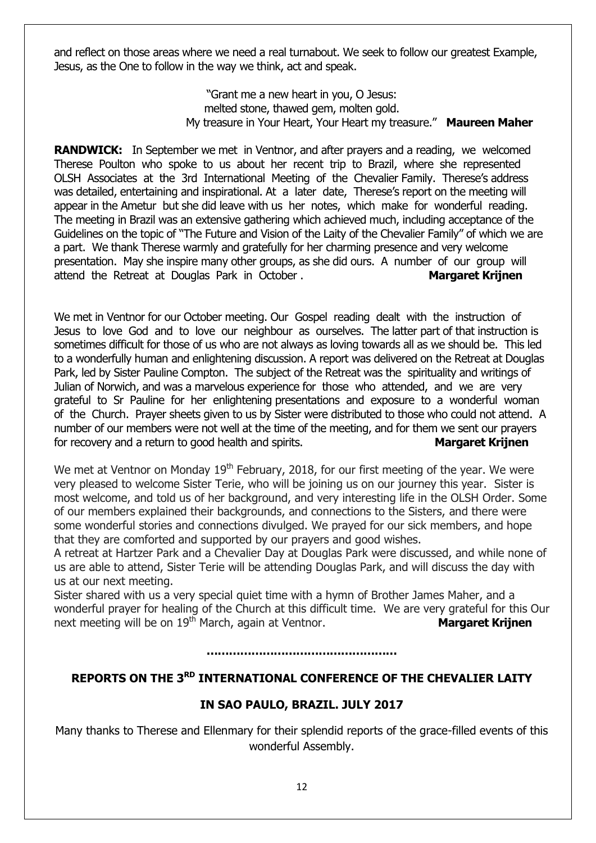and reflect on those areas where we need a real turnabout. We seek to follow our greatest Example, Jesus, as the One to follow in the way we think, act and speak.

> "Grant me a new heart in you, O Jesus: melted stone, thawed gem, molten gold. My treasure in Your Heart, Your Heart my treasure." **Maureen Maher**

**RANDWICK:** In September we met in Ventnor, and after prayers and a reading, we welcomed Therese Poulton who spoke to us about her recent trip to Brazil, where she represented OLSH Associates at the 3rd International Meeting of the Chevalier Family. Therese's address was detailed, entertaining and inspirational. At a later date, Therese's report on the meeting will appear in the Ametur but she did leave with us her notes, which make for wonderful reading. The meeting in Brazil was an extensive gathering which achieved much, including acceptance of the Guidelines on the topic of "The Future and Vision of the Laity of the Chevalier Family" of which we are a part. We thank Therese warmly and gratefully for her charming presence and very welcome presentation. May she inspire many other groups, as she did ours. A number of our group will attend the Retreat at Douglas Park in October . **Margaret Krijnen**

We met in Ventnor for our October meeting. Our Gospel reading dealt with the instruction of Jesus to love God and to love our neighbour as ourselves. The latter part of that instruction is sometimes difficult for those of us who are not always as loving towards all as we should be. This led to a wonderfully human and enlightening discussion. A report was delivered on the Retreat at Douglas Park, led by Sister Pauline Compton. The subject of the Retreat was the spirituality and writings of Julian of Norwich, and was a marvelous experience for those who attended, and we are very grateful to Sr Pauline for her enlightening presentations and exposure to a wonderful woman of the Church. Prayer sheets given to us by Sister were distributed to those who could not attend. A number of our members were not well at the time of the meeting, and for them we sent our prayers for recovery and a return to good health and spirits. **Margaret Krijnen**

We met at Ventnor on Monday 19<sup>th</sup> February, 2018, for our first meeting of the year. We were very pleased to welcome Sister Terie, who will be joining us on our journey this year. Sister is most welcome, and told us of her background, and very interesting life in the OLSH Order. Some of our members explained their backgrounds, and connections to the Sisters, and there were some wonderful stories and connections divulged. We prayed for our sick members, and hope that they are comforted and supported by our prayers and good wishes.

A retreat at Hartzer Park and a Chevalier Day at Douglas Park were discussed, and while none of us are able to attend, Sister Terie will be attending Douglas Park, and will discuss the day with us at our next meeting.

Sister shared with us a very special quiet time with a hymn of Brother James Maher, and a wonderful prayer for healing of the Church at this difficult time. We are very grateful for this Our next meeting will be on 19th March, again at Ventnor. **Margaret Krijnen** 

**……………………………………………**

#### **REPORTS ON THE 3RD INTERNATIONAL CONFERENCE OF THE CHEVALIER LAITY**

#### **IN SAO PAULO, BRAZIL. JULY 2017**

Many thanks to Therese and Ellenmary for their splendid reports of the grace-filled events of this wonderful Assembly.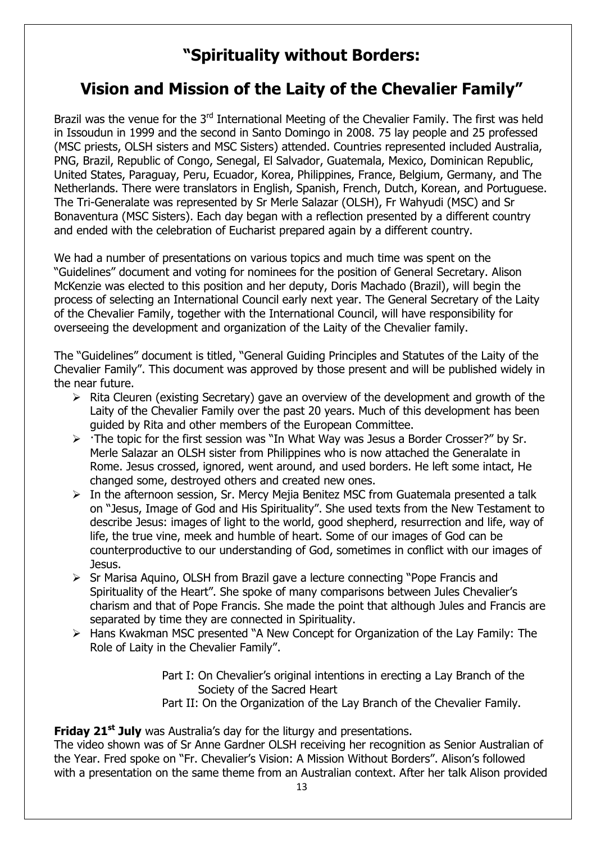## **"Spirituality without Borders:**

## **Vision and Mission of the Laity of the Chevalier Family"**

Brazil was the venue for the 3<sup>rd</sup> International Meeting of the Chevalier Family. The first was held in Issoudun in 1999 and the second in Santo Domingo in 2008. 75 lay people and 25 professed (MSC priests, OLSH sisters and MSC Sisters) attended. Countries represented included Australia, PNG, Brazil, Republic of Congo, Senegal, El Salvador, Guatemala, Mexico, Dominican Republic, United States, Paraguay, Peru, Ecuador, Korea, Philippines, France, Belgium, Germany, and The Netherlands. There were translators in English, Spanish, French, Dutch, Korean, and Portuguese. The Tri-Generalate was represented by Sr Merle Salazar (OLSH), Fr Wahyudi (MSC) and Sr Bonaventura (MSC Sisters). Each day began with a reflection presented by a different country and ended with the celebration of Eucharist prepared again by a different country.

We had a number of presentations on various topics and much time was spent on the "Guidelines" document and voting for nominees for the position of General Secretary. Alison McKenzie was elected to this position and her deputy, Doris Machado (Brazil), will begin the process of selecting an International Council early next year. The General Secretary of the Laity of the Chevalier Family, together with the International Council, will have responsibility for overseeing the development and organization of the Laity of the Chevalier family.

The "Guidelines" document is titled, "General Guiding Principles and Statutes of the Laity of the Chevalier Family". This document was approved by those present and will be published widely in the near future.

- $\triangleright$  Rita Cleuren (existing Secretary) gave an overview of the development and growth of the Laity of the Chevalier Family over the past 20 years. Much of this development has been guided by Rita and other members of the European Committee.
- $\triangleright$  The topic for the first session was "In What Way was Jesus a Border Crosser?" by Sr. Merle Salazar an OLSH sister from Philippines who is now attached the Generalate in Rome. Jesus crossed, ignored, went around, and used borders. He left some intact, He changed some, destroyed others and created new ones.
- $\triangleright$  In the afternoon session, Sr. Mercy Meija Benitez MSC from Guatemala presented a talk on "Jesus, Image of God and His Spirituality". She used texts from the New Testament to describe Jesus: images of light to the world, good shepherd, resurrection and life, way of life, the true vine, meek and humble of heart. Some of our images of God can be counterproductive to our understanding of God, sometimes in conflict with our images of Jesus.
- $\triangleright$  Sr Marisa Aquino, OLSH from Brazil gave a lecture connecting "Pope Francis and Spirituality of the Heart". She spoke of many comparisons between Jules Chevalier's charism and that of Pope Francis. She made the point that although Jules and Francis are separated by time they are connected in Spirituality.
- Hans Kwakman MSC presented "A New Concept for Organization of the Lay Family: The Role of Laity in the Chevalier Family".

Part I: On Chevalier's original intentions in erecting a Lay Branch of the Society of the Sacred Heart Part II: On the Organization of the Lay Branch of the Chevalier Family.

**Friday 21st July** was Australia's day for the liturgy and presentations.

The video shown was of Sr Anne Gardner OLSH receiving her recognition as Senior Australian of the Year. Fred spoke on "Fr. Chevalier's Vision: A Mission Without Borders". Alison's followed with a presentation on the same theme from an Australian context. After her talk Alison provided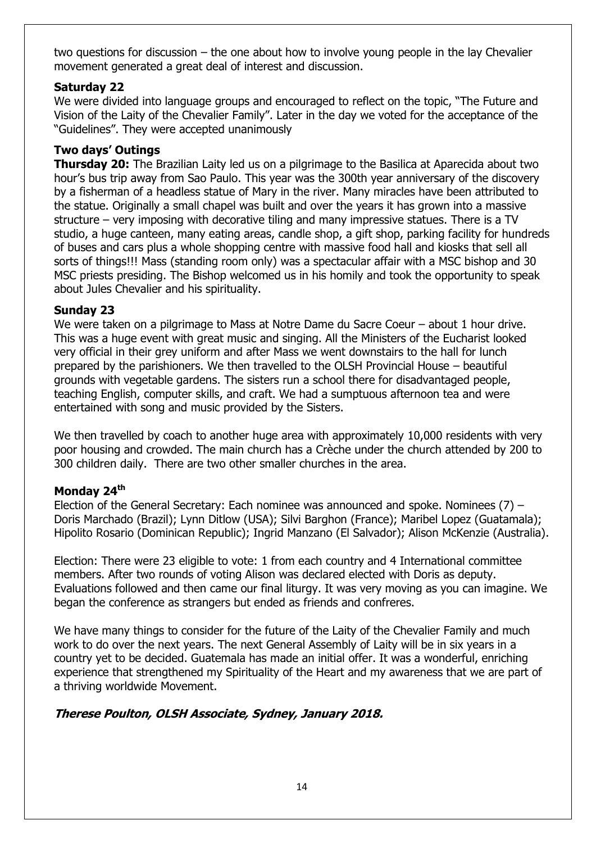two questions for discussion – the one about how to involve young people in the lay Chevalier movement generated a great deal of interest and discussion.

#### **Saturday 22**

We were divided into language groups and encouraged to reflect on the topic, "The Future and Vision of the Laity of the Chevalier Family". Later in the day we voted for the acceptance of the "Guidelines". They were accepted unanimously

#### **Two days' Outings**

**Thursday 20:** The Brazilian Laity led us on a pilgrimage to the Basilica at Aparecida about two hour's bus trip away from Sao Paulo. This year was the 300th year anniversary of the discovery by a fisherman of a headless statue of Mary in the river. Many miracles have been attributed to the statue. Originally a small chapel was built and over the years it has grown into a massive structure – very imposing with decorative tiling and many impressive statues. There is a TV studio, a huge canteen, many eating areas, candle shop, a gift shop, parking facility for hundreds of buses and cars plus a whole shopping centre with massive food hall and kiosks that sell all sorts of things!!! Mass (standing room only) was a spectacular affair with a MSC bishop and 30 MSC priests presiding. The Bishop welcomed us in his homily and took the opportunity to speak about Jules Chevalier and his spirituality.

#### **Sunday 23**

We were taken on a pilgrimage to Mass at Notre Dame du Sacre Coeur – about 1 hour drive. This was a huge event with great music and singing. All the Ministers of the Eucharist looked very official in their grey uniform and after Mass we went downstairs to the hall for lunch prepared by the parishioners. We then travelled to the OLSH Provincial House – beautiful grounds with vegetable gardens. The sisters run a school there for disadvantaged people, teaching English, computer skills, and craft. We had a sumptuous afternoon tea and were entertained with song and music provided by the Sisters.

We then travelled by coach to another huge area with approximately 10,000 residents with very poor housing and crowded. The main church has a Crèche under the church attended by 200 to 300 children daily. There are two other smaller churches in the area.

#### **Monday 24th**

Election of the General Secretary: Each nominee was announced and spoke. Nominees (7) – Doris Marchado (Brazil); Lynn Ditlow (USA); Silvi Barghon (France); Maribel Lopez (Guatamala); Hipolito Rosario (Dominican Republic); Ingrid Manzano (El Salvador); Alison McKenzie (Australia).

Election: There were 23 eligible to vote: 1 from each country and 4 International committee members. After two rounds of voting Alison was declared elected with Doris as deputy. Evaluations followed and then came our final liturgy. It was very moving as you can imagine. We began the conference as strangers but ended as friends and confreres.

We have many things to consider for the future of the Laity of the Chevalier Family and much work to do over the next years. The next General Assembly of Laity will be in six years in a country yet to be decided. Guatemala has made an initial offer. It was a wonderful, enriching experience that strengthened my Spirituality of the Heart and my awareness that we are part of a thriving worldwide Movement.

#### **Therese Poulton, OLSH Associate, Sydney, January 2018.**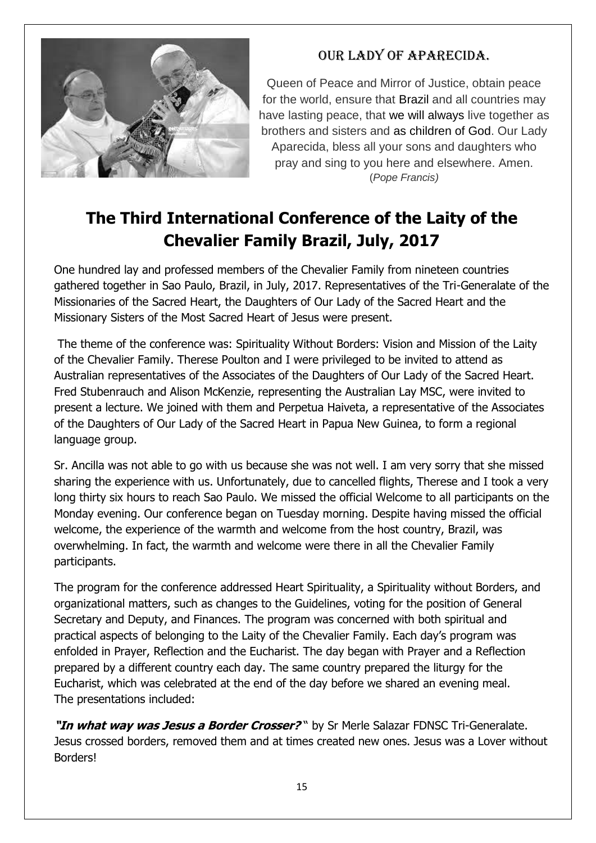

## Our Lady of Aparecida.

Queen of Peace and Mirror of Justice, obtain peace for the world, ensure that [Brazil](http://www.catholic.org/encyclopedia/view.php?id=2137) and all countries may have lasting peace, that we [will](http://www.catholic.org/encyclopedia/view.php?id=12332) always live together as brothers and sisters and as [children](http://www.catholic.org/shopping/?category=28) of God. Our Lady Aparecida, bless all your sons and daughters who pray and sing to you here and elsewhere. Amen. (*Pope Francis)*

## **The Third International Conference of the Laity of the Chevalier Family Brazil, July, 2017**

One hundred lay and professed members of the Chevalier Family from nineteen countries gathered together in Sao Paulo, Brazil, in July, 2017. Representatives of the Tri-Generalate of the Missionaries of the Sacred Heart, the Daughters of Our Lady of the Sacred Heart and the Missionary Sisters of the Most Sacred Heart of Jesus were present.

The theme of the conference was: Spirituality Without Borders: Vision and Mission of the Laity of the Chevalier Family. Therese Poulton and I were privileged to be invited to attend as Australian representatives of the Associates of the Daughters of Our Lady of the Sacred Heart. Fred Stubenrauch and Alison McKenzie, representing the Australian Lay MSC, were invited to present a lecture. We joined with them and Perpetua Haiveta, a representative of the Associates of the Daughters of Our Lady of the Sacred Heart in Papua New Guinea, to form a regional language group.

Sr. Ancilla was not able to go with us because she was not well. I am very sorry that she missed sharing the experience with us. Unfortunately, due to cancelled flights, Therese and I took a very long thirty six hours to reach Sao Paulo. We missed the official Welcome to all participants on the Monday evening. Our conference began on Tuesday morning. Despite having missed the official welcome, the experience of the warmth and welcome from the host country, Brazil, was overwhelming. In fact, the warmth and welcome were there in all the Chevalier Family participants.

The program for the conference addressed Heart Spirituality, a Spirituality without Borders, and organizational matters, such as changes to the Guidelines, voting for the position of General Secretary and Deputy, and Finances. The program was concerned with both spiritual and practical aspects of belonging to the Laity of the Chevalier Family. Each day's program was enfolded in Prayer, Reflection and the Eucharist. The day began with Prayer and a Reflection prepared by a different country each day. The same country prepared the liturgy for the Eucharist, which was celebrated at the end of the day before we shared an evening meal. The presentations included:

**"In what way was Jesus a Border Crosser?** " by Sr Merle Salazar FDNSC Tri-Generalate. Jesus crossed borders, removed them and at times created new ones. Jesus was a Lover without **Borders!**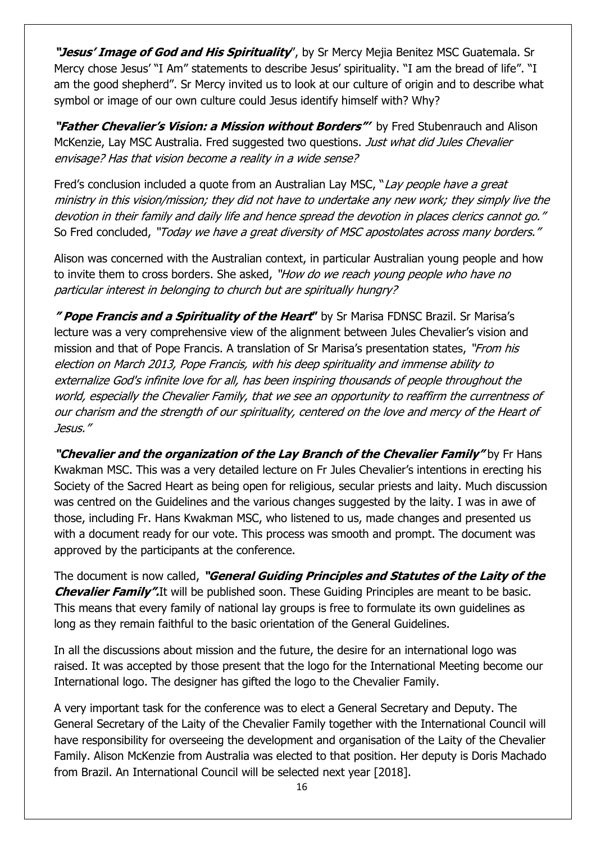**"Jesus' Image of God and His Spirituality**", by Sr Mercy Mejia Benitez MSC Guatemala. Sr Mercy chose Jesus' "I Am" statements to describe Jesus' spirituality. "I am the bread of life". "I am the good shepherd". Sr Mercy invited us to look at our culture of origin and to describe what symbol or image of our own culture could Jesus identify himself with? Why?

**"Father Chevalier's Vision: a Mission without Borders"'** by Fred Stubenrauch and Alison McKenzie, Lay MSC Australia. Fred suggested two questions. Just what did Jules Chevalier envisage? Has that vision become a reality in a wide sense?

Fred's conclusion included a quote from an Australian Lay MSC, "Lay people have a great ministry in this vision/mission; they did not have to undertake any new work; they simply live the devotion in their family and daily life and hence spread the devotion in places clerics cannot go." So Fred concluded, "Today we have a great diversity of MSC apostolates across many borders."

Alison was concerned with the Australian context, in particular Australian young people and how to invite them to cross borders. She asked, "How do we reach young people who have no particular interest in belonging to church but are spiritually hungry?

**" Pope Francis and a Spirituality of the Heart"** by Sr Marisa FDNSC Brazil. Sr Marisa's lecture was a very comprehensive view of the alignment between Jules Chevalier's vision and mission and that of Pope Francis. A translation of Sr Marisa's presentation states, "From his election on March 2013, Pope Francis, with his deep spirituality and immense ability to externalize God's infinite love for all, has been inspiring thousands of people throughout the world, especially the Chevalier Family, that we see an opportunity to reaffirm the currentness of our charism and the strength of our spirituality, centered on the love and mercy of the Heart of Jesus."

**"Chevalier and the organization of the Lay Branch of the Chevalier Family"** by Fr Hans Kwakman MSC. This was a very detailed lecture on Fr Jules Chevalier's intentions in erecting his Society of the Sacred Heart as being open for religious, secular priests and laity. Much discussion was centred on the Guidelines and the various changes suggested by the laity. I was in awe of those, including Fr. Hans Kwakman MSC, who listened to us, made changes and presented us with a document ready for our vote. This process was smooth and prompt. The document was approved by the participants at the conference.

The document is now called, **"General Guiding Principles and Statutes of the Laity of the Chevalier Family".**It will be published soon. These Guiding Principles are meant to be basic. This means that every family of national lay groups is free to formulate its own guidelines as long as they remain faithful to the basic orientation of the General Guidelines.

In all the discussions about mission and the future, the desire for an international logo was raised. It was accepted by those present that the logo for the International Meeting become our International logo. The designer has gifted the logo to the Chevalier Family.

A very important task for the conference was to elect a General Secretary and Deputy. The General Secretary of the Laity of the Chevalier Family together with the International Council will have responsibility for overseeing the development and organisation of the Laity of the Chevalier Family. Alison McKenzie from Australia was elected to that position. Her deputy is Doris Machado from Brazil. An International Council will be selected next year [2018].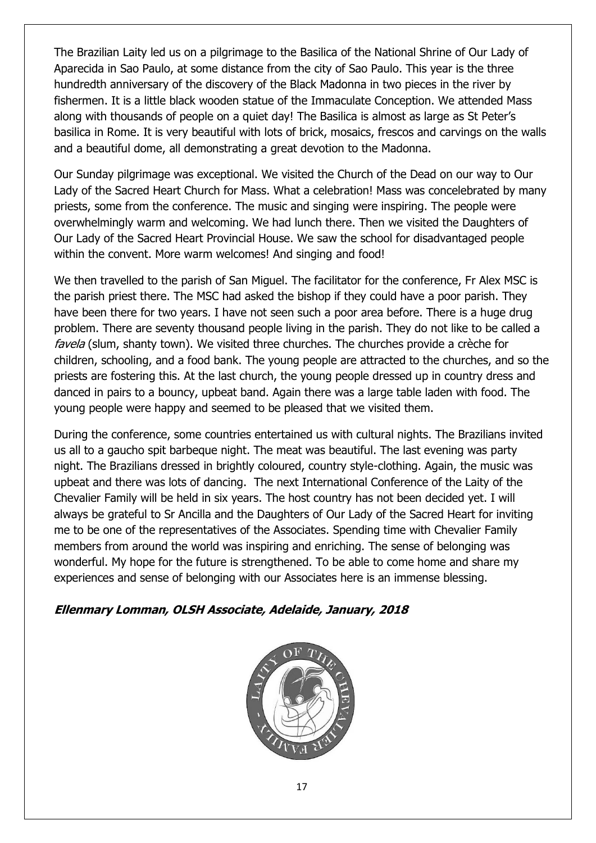The Brazilian Laity led us on a pilgrimage to the Basilica of the National Shrine of Our Lady of Aparecida in Sao Paulo, at some distance from the city of Sao Paulo. This year is the three hundredth anniversary of the discovery of the Black Madonna in two pieces in the river by fishermen. It is a little black wooden statue of the Immaculate Conception. We attended Mass along with thousands of people on a quiet day! The Basilica is almost as large as St Peter's basilica in Rome. It is very beautiful with lots of brick, mosaics, frescos and carvings on the walls and a beautiful dome, all demonstrating a great devotion to the Madonna.

Our Sunday pilgrimage was exceptional. We visited the Church of the Dead on our way to Our Lady of the Sacred Heart Church for Mass. What a celebration! Mass was concelebrated by many priests, some from the conference. The music and singing were inspiring. The people were overwhelmingly warm and welcoming. We had lunch there. Then we visited the Daughters of Our Lady of the Sacred Heart Provincial House. We saw the school for disadvantaged people within the convent. More warm welcomes! And singing and food!

We then travelled to the parish of San Miguel. The facilitator for the conference, Fr Alex MSC is the parish priest there. The MSC had asked the bishop if they could have a poor parish. They have been there for two years. I have not seen such a poor area before. There is a huge drug problem. There are seventy thousand people living in the parish. They do not like to be called a favela (slum, shanty town). We visited three churches. The churches provide a crèche for children, schooling, and a food bank. The young people are attracted to the churches, and so the priests are fostering this. At the last church, the young people dressed up in country dress and danced in pairs to a bouncy, upbeat band. Again there was a large table laden with food. The young people were happy and seemed to be pleased that we visited them.

During the conference, some countries entertained us with cultural nights. The Brazilians invited us all to a gaucho spit barbeque night. The meat was beautiful. The last evening was party night. The Brazilians dressed in brightly coloured, country style-clothing. Again, the music was upbeat and there was lots of dancing. The next International Conference of the Laity of the Chevalier Family will be held in six years. The host country has not been decided yet. I will always be grateful to Sr Ancilla and the Daughters of Our Lady of the Sacred Heart for inviting me to be one of the representatives of the Associates. Spending time with Chevalier Family members from around the world was inspiring and enriching. The sense of belonging was wonderful. My hope for the future is strengthened. To be able to come home and share my experiences and sense of belonging with our Associates here is an immense blessing.

**Ellenmary Lomman, OLSH Associate, Adelaide, January, 2018** 

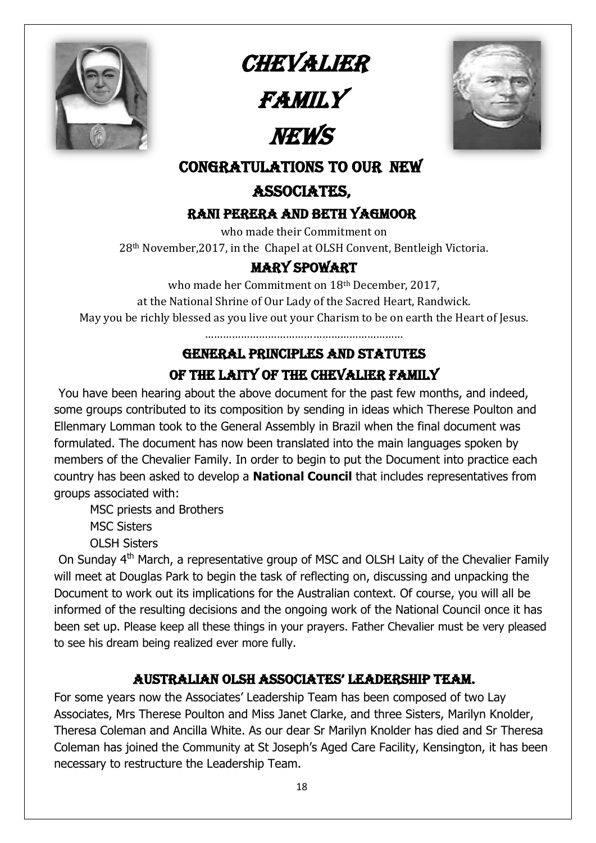

**CHEVALIER** 

**FAMILY** 

# NEWS



## CONGRATULATIONS to our new

## Associates,

## Rani Perera and beth Yagmoor

who made their Commitment on

28th November,2017, in the Chapel at OLSH Convent, Bentleigh Victoria.

## Mary Spowart

who made her Commitment on 18th December, 2017, at the National Shrine of Our Lady of the Sacred Heart, Randwick. May you be richly blessed as you live out your Charism to be on earth the Heart of Jesus.

…………………………………………………………

## General Principles and Statutes of the Laity of the Chevalier Family

You have been hearing about the above document for the past few months, and indeed, some groups contributed to its composition by sending in ideas which Therese Poulton and Ellenmary Lomman took to the General Assembly in Brazil when the final document was formulated. The document has now been translated into the main languages spoken by members of the Chevalier Family. In order to begin to put the Document into practice each country has been asked to develop a **National Council** that includes representatives from groups associated with:

MSC priests and Brothers

MSC Sisters

OLSH Sisters

On Sunday 4<sup>th</sup> March, a representative group of MSC and OLSH Laity of the Chevalier Family will meet at Douglas Park to begin the task of reflecting on, discussing and unpacking the Document to work out its implications for the Australian context. Of course, you will all be informed of the resulting decisions and the ongoing work of the National Council once it has been set up. Please keep all these things in your prayers. Father Chevalier must be very pleased to see his dream being realized ever more fully.

## AUSTRALIAN OLSH ASSOCIATES' LEADERSHIP TEAM.

For some years now the Associates' Leadership Team has been composed of two Lay Associates, Mrs Therese Poulton and Miss Janet Clarke, and three Sisters, Marilyn Knolder, Theresa Coleman and Ancilla White. As our dear Sr Marilyn Knolder has died and Sr Theresa Coleman has joined the Community at St Joseph's Aged Care Facility, Kensington, it has been necessary to restructure the Leadership Team.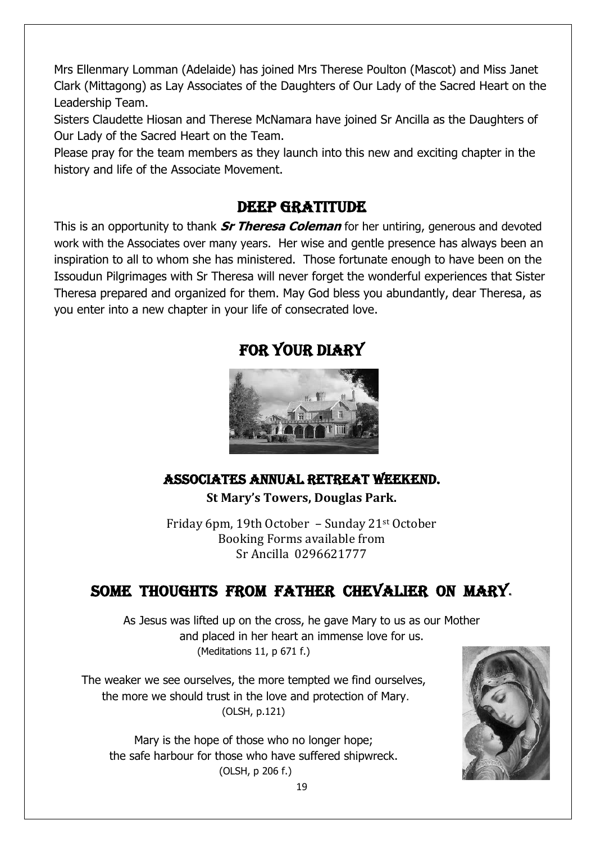Mrs Ellenmary Lomman (Adelaide) has joined Mrs Therese Poulton (Mascot) and Miss Janet Clark (Mittagong) as Lay Associates of the Daughters of Our Lady of the Sacred Heart on the Leadership Team.

Sisters Claudette Hiosan and Therese McNamara have joined Sr Ancilla as the Daughters of Our Lady of the Sacred Heart on the Team.

Please pray for the team members as they launch into this new and exciting chapter in the history and life of the Associate Movement.

## DEEP GRATITUDE

This is an opportunity to thank **Sr Theresa Coleman** for her untiring, generous and devoted work with the Associates over many years. Her wise and gentle presence has always been an inspiration to all to whom she has ministered. Those fortunate enough to have been on the Issoudun Pilgrimages with Sr Theresa will never forget the wonderful experiences that Sister Theresa prepared and organized for them. May God bless you abundantly, dear Theresa, as you enter into a new chapter in your life of consecrated love.



FOR YOUR DIARY

## ASSOCIATES ANNUAL RETREAT WEEKEND.

**St Mary's Towers, Douglas Park.**

Friday 6pm, 19th October – Sunday 21st October Booking Forms available from Sr Ancilla 0296621777

## Some Thoughts from Father Chevalier on Mary.

As Jesus was lifted up on the cross, he gave Mary to us as our Mother and placed in her heart an immense love for us. (Meditations 11, p 671 f.)

The weaker we see ourselves, the more tempted we find ourselves, the more we should trust in the love and protection of Mary. (OLSH, p.121)

Mary is the hope of those who no longer hope; the safe harbour for those who have suffered shipwreck. (OLSH, p 206 f.)